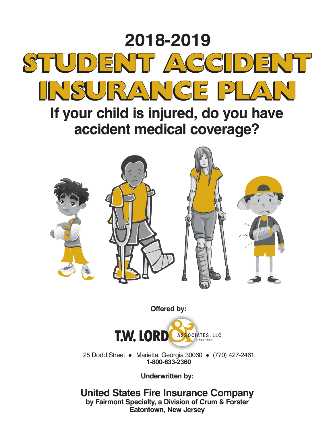

# **If your child is injured, do you have accident medical coverage?**



**Offered by:**



25 Dodd Street • Marietta, Georgia 30060 • (770) 427-2461 **1-800-633-2360**

**Underwritten by:**

**United States Fire Insurance Company by Fairmont Specialty, a Division of Crum & Forster Eatontown, New Jersey**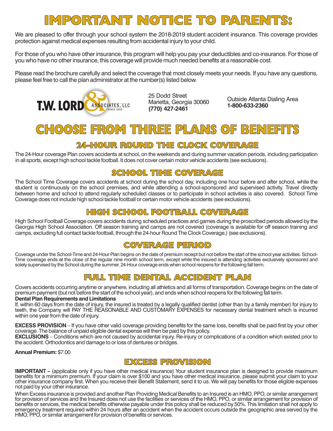## **IMPORTANT NOTICE TO PARENTS:**

We are pleased to offer through your school system the 2018-2019 student accident insurance. This coverage provides protection against medical expenses resulting from accidental injury to your child.

For those of you who have other insurance, this program will help you pay your deductibles and co-insurance. For those of you who have no other insurance, this coverage will provide much needed benefits at a reasonable cost.

Please read the brochure carefully and select the coverage that most closely meets your needs. If you have any questions, please feel free to call the plan administrator at the number(s) listed below.



25 Dodd Street<br>Marietta, Georgia 30060

Outside Atlanta Dialing Area **1-800-633-2360**

## **CHOOSE FROM THREE PLANS OF BENEFITS**

## **24-HOUR ROUND THE CLOCK COVERAGE**

The 24-Hour coverage Plan covers accidents at school, on the weekends and during summer vacation periods, including participation in all sports, except high school tackle football. It does not cover certain motor vehicle accidents (see exclusions).

### **SCHOOL TIME COVERAGE**

The School Time Coverage covers accidents at school during the school day, including one hour before and after school, while the student is continuously on the school premises, and while attending a school-sponsored and supervised activity. Travel directly between home and school to attend regularly scheduled classes or to participate in school activities is also covered. School Time Coverage does not include high school tackle football or certain motor vehicle accidents (see exclusions).

### **HIGH SCHOOL FOOTBALL COVERAGE**

High School Football Coverage covers accidents during scheduled practices and games during the proscribed periods allowed by the Georgia High School Association. Off season training and camps are not covered (coverage is available for off season training and camps, excluding full contact tackle football, through the 24-hour Round The Clock Coverage,) (see exclusions).

### **COVERAGE PERIOD**

Coverage under the School-Time and 24-Hour Plan begins on the date of premium receipt but not before the start of the school year activities. School-Time coverage ends at the close of the regular nine month school term, except while the insured is attending activities exclusively sponsored and solely supervised by the School during the summer. 24-Hour coverage ends when school reopens for the following fall term.

## **FULL TIME DENTAL ACCIDENT PLAN**

Covers accidents occurring anytime or anywhere, including all athletics and all forms of transportation. Coverage begins on the date of premium payment (but not before the start of the school year), and ends when school reopens for the following fall term. **Dental Plan Requirements and Limitations**

If, within 60 days from the date of injury, the insured is treated by a legally qualified dentist (other than by a family member) for injury to teeth, the Company will PAY THE REASONABLE AND CUSTOMARY EXPENSES for necessary dental treatment which is incurred within one year from the date of injury.

**EXCESS PROVISION** – If you have other valid coverage providing benefits for the same loss, benefits shall be paid first by your other coverage. The balance of unpaid eligible dental expense will then be paid by this policy.

**EXCLUSIONS** – Conditions which are not caused by accidental injury. Re-injury or complications of a condition which existed prior to the accident. Orthodontics and damage to or loss of dentures or bridges.

**Annual Premium:** \$7.00

### **EXCESS PROVISION**

**IMPORTANT** – (applicable only if you have other medical insurance) Your student insurance plan is designed to provide maximum benefits for a minimum premium. If your claim is over \$100 and you have other medical insurance, please submit your claim to your other insurance company first. When you receive their Benefit Statement, send it to us. We will pay benefits for those eligible expenses not paid by your other insurance.

When Excess insurance is provided and another Plan Providing Medical Benefits to an Insured is an HMO, PPO, or similar arrangement for provision of services and the Insured does not use the facilities or services of the HMO, PPO, or similar arrangement for provision of benefits or services, the medical benefits otherwise payable under this policy shall be reduced by 50%. This limitation shall not apply to emergency treatment required within 24 hours after an accident when the accident occurs outside the geographic area served by the HMO, PPO, or similar arrangement for provision of benefits or services.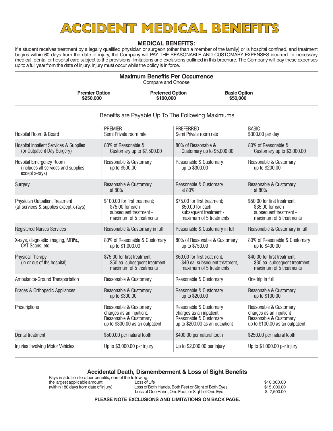## **ACCIDENT MEDICAL BENEFITS**

#### **MEDICAL BENEFITS:**

If a student receives treatment by a legally qualified physician or surgeon (other than a member of the family) or is hospital confined, and treatment begins within 60 days from the date of injury, the Company will PAY THE REASONABLE AND CUSTOMARY EXPENSES incurred for necessary medical, dental or hospital care subject to the provisions, limitations and exclusions outlined in this brochure. The Company will pay these expenses up to a full year from the date of injury. Injury must occur while the policy is in force.

#### **Maximum Benefits Per Occurrence**

Compare and Choose

| <b>Premier Option</b> | <b>Preferred Option</b> | <b>Basic Option</b> |  |
|-----------------------|-------------------------|---------------------|--|
| \$250,000             | \$100,000               | \$50,000            |  |

#### Benefits are Payable Up To The Following Maximums

| Hospital Room & Board                                                            | <b>PREMIER</b><br>Semi Private room rate                                                                        | <b>PREFERRED</b><br>Semi Private room rate                                                                      | <b>BASIC</b><br>\$300.00 per day                                                                               |
|----------------------------------------------------------------------------------|-----------------------------------------------------------------------------------------------------------------|-----------------------------------------------------------------------------------------------------------------|----------------------------------------------------------------------------------------------------------------|
| <b>Hospital Inpatient Services &amp; Supplies</b><br>(or Outpatient Day Surgery) | 80% of Reasonable &<br>Customary up to \$7,500.00                                                               | 80% of Reasonable &<br>Customary up to \$5,000.00                                                               | 80% of Reasonable &<br>Customary up to \$3,000.00                                                              |
| Hospital Emergency Room<br>(includes all services and supplies<br>except x-rays) | Reasonable & Customary<br>up to \$500.00                                                                        | Reasonable & Customary<br>up to \$300.00                                                                        | Reasonable & Customary<br>up to \$200.00                                                                       |
| Surgery                                                                          | Reasonable & Customary<br>at 80%                                                                                | Reasonable & Customary<br>at 80%                                                                                | Reasonable & Customary<br>at 80%                                                                               |
| <b>Physician Outpatient Treatment</b><br>(all services & supplies except x-rays) | \$100.00 for first treatment:<br>\$75.00 for each<br>subsequent treatment -<br>maximum of 5 treatments          | \$75.00 for first treatment:<br>\$50.00 for each<br>subsequent treatment -<br>maximum of 5 treatments           | \$50.00 for first treatment:<br>\$35.00 for each<br>subsequent treatment -<br>maximum of 5 treatments          |
| <b>Registered Nurses Services</b>                                                | Reasonable & Customary in full                                                                                  | Reasonable & Customary in full                                                                                  | Reasonable & Customary in full                                                                                 |
| X-rays, diagnostic imaging, MRI's.,<br>CAT Scans, etc.                           | 80% of Reasonable & Customary<br>up to \$1,000.00                                                               | 80% of Reasonable & Customary<br>up to \$750.00                                                                 | 80% of Reasonable & Customary<br>up to \$400.00                                                                |
| <b>Physical Therapy</b><br>(in or out of the hospital)                           | \$75.00 for first treatment,<br>\$50 ea. subsequent treatment,<br>maximum of 5 treatments                       | \$60.00 for first treatment,<br>\$40 ea. subsequent treatment,<br>maximum of 5 treatments                       | \$40.00 for first treatment,<br>\$30 ea. subsequent treatment,<br>maximum of 5 treatments                      |
| Ambulance-Ground Transportation                                                  | Reasonable & Customary                                                                                          | Reasonable & Customary                                                                                          | One trip in full                                                                                               |
| <b>Braces &amp; Orthopedic Appliances</b>                                        | Reasonable & Customary<br>up to \$300.00                                                                        | Reasonable & Customary<br>up to \$200.00                                                                        | Reasonable & Customary<br>up to \$100.00                                                                       |
| Prescriptions                                                                    | Reasonable & Customary<br>charges as an inpatient;<br>Reasonable & Customary<br>up to \$300.00 as an outpatient | Reasonable & Customary<br>charges as an inpatient;<br>Reasonable & Customary<br>up to \$200.00 as an outpatient | Reasonable & Customary<br>charges as an inpatient<br>Reasonable & Customary<br>up to \$100.00 as an outpatient |
| Dental treatment                                                                 | \$500.00 per natural tooth                                                                                      | \$400.00 per natural tooth                                                                                      | \$250.00 per natural tooth                                                                                     |
| <b>Injuries Involving Motor Vehicles</b>                                         | Up to \$3,000.00 per injury                                                                                     | Up to \$2,000.00 per injury                                                                                     | Up to \$1,000.00 per injury                                                                                    |

#### **Accidental Death, Dismemberment & Loss of Sight Benefits**

Pays in addition to other benefits, one of the following: the largest applicable amount: Loss of Life largest applicable amount: \$10,000.00<br>(within 180 days from date of injury) Loss of Both Hands, Both Feet or Sight of Both Eyes \$15,000.00 (within 180 days from date of injury) Loss of Both Hands, Both Feet or Sight of Both Eyes \$15,000.00

Loss of One Hand, One Foot, or Sight of One Eye \$ 7,500.00

**PLEASE NOTE EXCLUSIONS AND LIMITATIONS ON BACK PAGE.**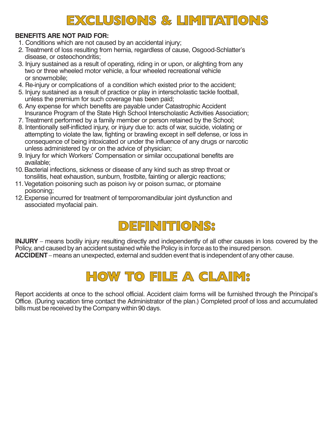## **EXCLUSIONS & LIMITATIONS**

### **BENEFITS ARE NOT PAID FOR:**

- 1. Conditions which are not caused by an accidental injury;
- 2. Treatment of loss resulting from hernia, regardless of cause, Osgood-Schlatter's disease, or osteochondritis;
- 3. Injury sustained as a result of operating, riding in or upon, or alighting from any two or three wheeled motor vehicle, a four wheeled recreational vehicle or snowmobile;
- 4. Re-injury or complications of a condition which existed prior to the accident;
- 5. Injury sustained as a result of practice or play in interscholastic tackle football, unless the premium for such coverage has been paid;
- 6. Any expense for which benefits are payable under Catastrophic Accident Insurance Program of the State High School Interscholastic Activities Association;
- 7. Treatment performed by a family member or person retained by the School;
- 8. Intentionally self-inflicted injury, or injury due to: acts of war, suicide, violating or attempting to violate the law, fighting or brawling except in self defense, or loss in consequence of being intoxicated or under the influence of any drugs or narcotic unless administered by or on the advice of physician;
- 9. Injury for which Workers' Compensation or similar occupational benefits are available;
- 10. Bacterial infections, sickness or disease of any kind such as strep throat or tonsilitis, heat exhaustion, sunburn, frostbite, fainting or allergic reactions;
- 11. Vegetation poisoning such as poison ivy or poison sumac, or ptomaine poisoning;
- 12. Expense incurred for treatment of temporomandibular joint dysfunction and associated myofacial pain.

## **DEFINITIONS:**

**INJURY** – means bodily injury resulting directly and independently of all other causes in loss covered by the Policy, and caused by an accident sustained while the Policy is in force as to the insured person. **ACCIDENT** – means an unexpected, external and sudden event that is independent of any other cause.



Report accidents at once to the school official. Accident claim forms will be furnished through the Principal's Office. (During vacation time contact the Administrator of the plan.) Completed proof of loss and accumulated bills must be received by the Company within 90 days.